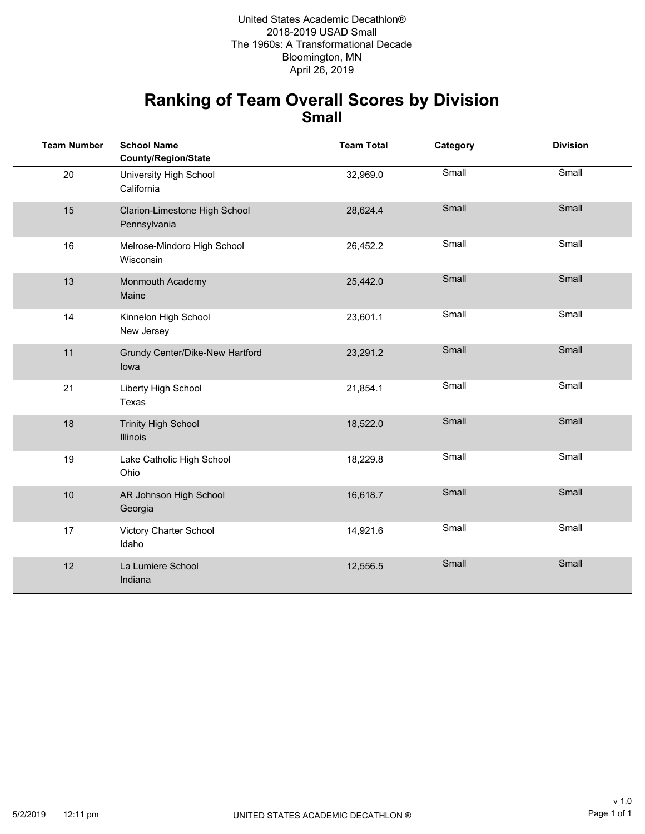Bloomington, MN 2018-2019 USAD Small The 1960s: A Transformational Decade United States Academic Decathlon® April 26, 2019

#### **Ranking of Team Overall Scores by Division Small**

| <b>Team Number</b> | <b>School Name</b><br><b>County/Region/State</b> | <b>Team Total</b> | Category | <b>Division</b> |
|--------------------|--------------------------------------------------|-------------------|----------|-----------------|
| 20                 | University High School<br>California             | 32,969.0          | Small    | Small           |
| 15                 | Clarion-Limestone High School<br>Pennsylvania    | 28,624.4          | Small    | Small           |
| 16                 | Melrose-Mindoro High School<br>Wisconsin         | 26,452.2          | Small    | Small           |
| 13                 | Monmouth Academy<br>Maine                        | 25,442.0          | Small    | Small           |
| 14                 | Kinnelon High School<br>New Jersey               | 23,601.1          | Small    | Small           |
| 11                 | Grundy Center/Dike-New Hartford<br>lowa          | 23,291.2          | Small    | Small           |
| 21                 | Liberty High School<br>Texas                     | 21,854.1          | Small    | Small           |
| 18                 | <b>Trinity High School</b><br><b>Illinois</b>    | 18,522.0          | Small    | Small           |
| 19                 | Lake Catholic High School<br>Ohio                | 18,229.8          | Small    | Small           |
| 10                 | AR Johnson High School<br>Georgia                | 16,618.7          | Small    | Small           |
| 17                 | Victory Charter School<br>Idaho                  | 14,921.6          | Small    | Small           |
| 12                 | La Lumiere School<br>Indiana                     | 12,556.5          | Small    | Small           |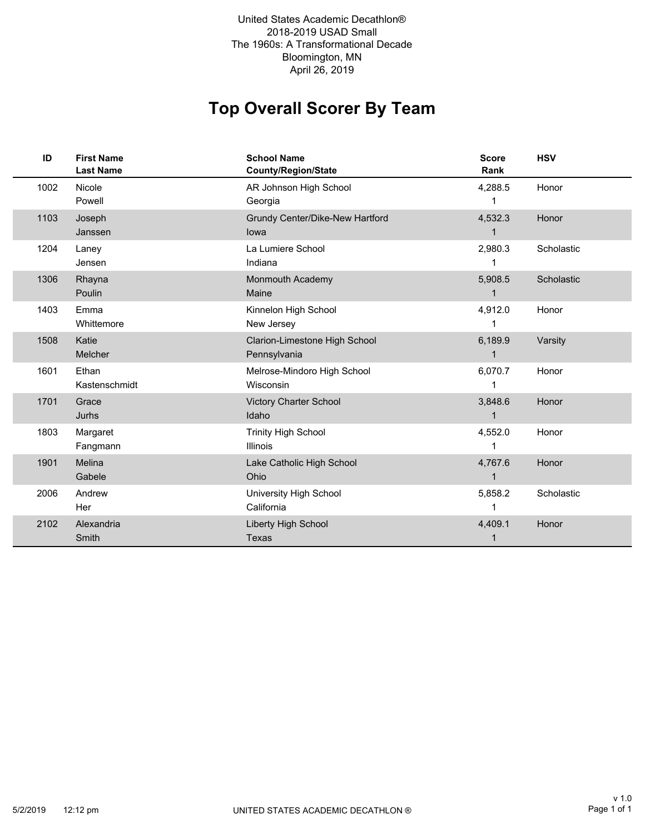2018-2019 USAD Small The 1960s: A Transformational Decade Bloomington, MN United States Academic Decathlon® April 26, 2019

# **Top Overall Scorer By Team**

| ID   | <b>First Name</b><br><b>Last Name</b> | <b>School Name</b><br>County/Region/State     | <b>Score</b><br>Rank    | <b>HSV</b> |
|------|---------------------------------------|-----------------------------------------------|-------------------------|------------|
| 1002 | Nicole<br>Powell                      | AR Johnson High School<br>Georgia             | 4,288.5                 | Honor      |
| 1103 | Joseph<br>Janssen                     | Grundy Center/Dike-New Hartford<br>lowa       | 4,532.3<br>1            | Honor      |
| 1204 | Laney<br>Jensen                       | La Lumiere School<br>Indiana                  | 2,980.3                 | Scholastic |
| 1306 | Rhayna<br>Poulin                      | <b>Monmouth Academy</b><br>Maine              | 5,908.5                 | Scholastic |
| 1403 | Emma<br>Whittemore                    | Kinnelon High School<br>New Jersey            | 4,912.0                 | Honor      |
| 1508 | Katie<br>Melcher                      | Clarion-Limestone High School<br>Pennsylvania | 6,189.9                 | Varsity    |
| 1601 | Ethan<br>Kastenschmidt                | Melrose-Mindoro High School<br>Wisconsin      | 6,070.7                 | Honor      |
| 1701 | Grace<br>Jurhs                        | <b>Victory Charter School</b><br>Idaho        | 3,848.6                 | Honor      |
| 1803 | Margaret<br>Fangmann                  | <b>Trinity High School</b><br><b>Illinois</b> | 4,552.0<br>1            | Honor      |
| 1901 | Melina<br>Gabele                      | Lake Catholic High School<br>Ohio             | 4,767.6<br>$\mathbf{1}$ | Honor      |
| 2006 | Andrew<br>Her                         | University High School<br>California          | 5,858.2<br>1            | Scholastic |
| 2102 | Alexandria<br><b>Smith</b>            | Liberty High School<br><b>Texas</b>           | 4,409.1                 | Honor      |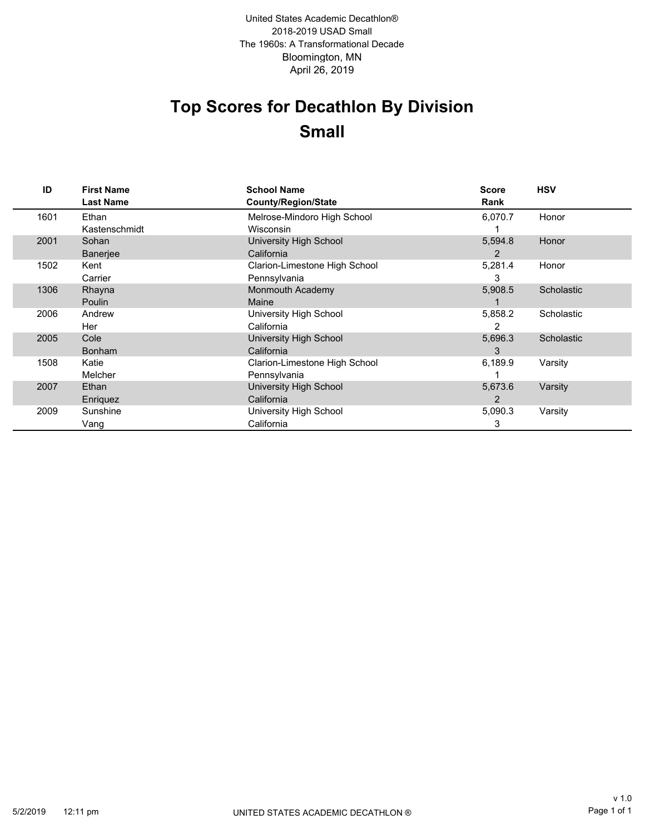Bloomington, MN 2018-2019 USAD Small The 1960s: A Transformational Decade April 26, 2019 United States Academic Decathlon®

# **Top Scores for Decathlon By Division Small**

| ID   | <b>First Name</b><br><b>Last Name</b> | <b>School Name</b><br><b>County/Region/State</b> | Score<br>Rank | <b>HSV</b> |
|------|---------------------------------------|--------------------------------------------------|---------------|------------|
| 1601 | Ethan                                 | Melrose-Mindoro High School                      | 6,070.7       | Honor      |
|      | Kastenschmidt                         | Wisconsin                                        |               |            |
| 2001 | Sohan                                 | University High School                           | 5,594.8       | Honor      |
|      | <b>Banerjee</b>                       | California                                       | 2             |            |
| 1502 | Kent                                  | Clarion-Limestone High School                    | 5,281.4       | Honor      |
|      | Carrier                               | Pennsylvania                                     | 3             |            |
| 1306 | Rhayna                                | Monmouth Academy                                 | 5,908.5       | Scholastic |
|      | Poulin                                | Maine                                            |               |            |
| 2006 | Andrew                                | University High School                           | 5,858.2       | Scholastic |
|      | Her                                   | California                                       | 2             |            |
| 2005 | Cole                                  | University High School                           | 5,696.3       | Scholastic |
|      | <b>Bonham</b>                         | California                                       | 3             |            |
| 1508 | Katie                                 | Clarion-Limestone High School                    | 6,189.9       | Varsity    |
|      | Melcher                               | Pennsylvania                                     |               |            |
| 2007 | Ethan                                 | University High School                           | 5,673.6       | Varsity    |
|      | Enriquez                              | California                                       | 2             |            |
| 2009 | Sunshine                              | University High School                           | 5,090.3       | Varsity    |
|      | Vang                                  | California                                       | 3             |            |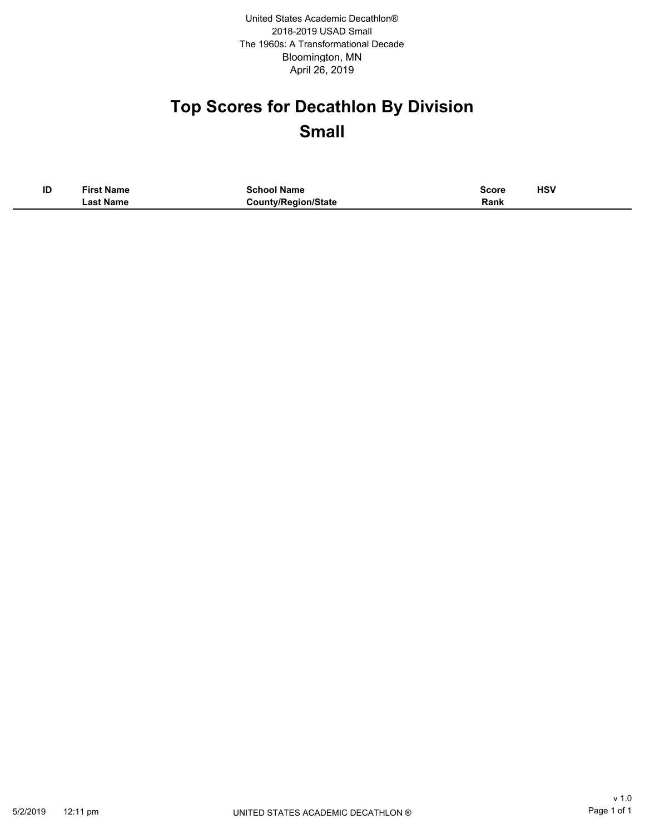Bloomington, MN 2018-2019 USAD Small The 1960s: A Transformational Decade April 26, 2019 United States Academic Decathlon®

# **Top Scores for Decathlon By Division Small**

| ID | <b>First Name</b> | School Name                | Score | HSV<br>____ |
|----|-------------------|----------------------------|-------|-------------|
|    | ∟ast Name         | <b>County/Region/State</b> | Rank  |             |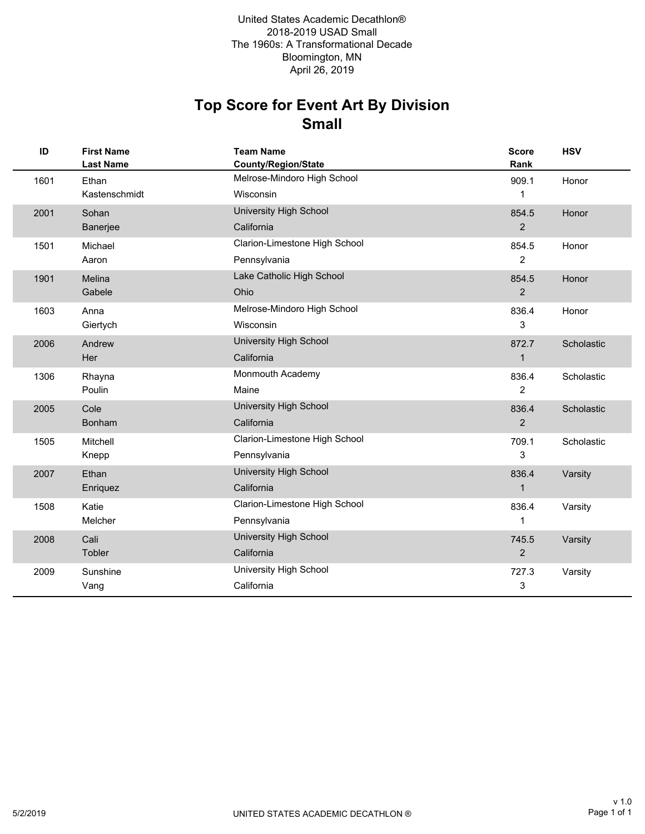### **Small Top Score for Event Art By Division**

| ID   | <b>First Name</b><br><b>Last Name</b> | <b>Team Name</b><br><b>County/Region/State</b> | <b>Score</b><br>Rank | <b>HSV</b> |
|------|---------------------------------------|------------------------------------------------|----------------------|------------|
| 1601 | Ethan                                 | Melrose-Mindoro High School                    | 909.1                | Honor      |
|      | Kastenschmidt                         | Wisconsin                                      | 1                    |            |
| 2001 | Sohan                                 | <b>University High School</b>                  | 854.5                | Honor      |
|      | Banerjee                              | California                                     | $\overline{2}$       |            |
| 1501 | Michael                               | Clarion-Limestone High School                  | 854.5                | Honor      |
|      | Aaron                                 | Pennsylvania                                   | $\overline{2}$       |            |
| 1901 | Melina                                | Lake Catholic High School                      | 854.5                | Honor      |
|      | Gabele                                | Ohio                                           | $\overline{2}$       |            |
| 1603 | Anna                                  | Melrose-Mindoro High School                    | 836.4                | Honor      |
|      | Giertych                              | Wisconsin                                      | 3                    |            |
| 2006 | Andrew                                | University High School                         | 872.7                | Scholastic |
|      | Her                                   | California                                     | $\mathbf{1}$         |            |
| 1306 | Rhayna                                | Monmouth Academy                               | 836.4                | Scholastic |
|      | Poulin                                | Maine                                          | $\overline{2}$       |            |
| 2005 | Cole                                  | University High School                         | 836.4                | Scholastic |
|      | Bonham                                | California                                     | 2                    |            |
| 1505 | Mitchell                              | Clarion-Limestone High School                  | 709.1                | Scholastic |
|      | Knepp                                 | Pennsylvania                                   | 3                    |            |
| 2007 | Ethan                                 | <b>University High School</b>                  | 836.4                | Varsity    |
|      | Enriquez                              | California                                     | 1                    |            |
| 1508 | Katie                                 | Clarion-Limestone High School                  | 836.4                | Varsity    |
|      | Melcher                               | Pennsylvania                                   | 1                    |            |
| 2008 | Cali                                  | University High School                         | 745.5                | Varsity    |
|      | Tobler                                | California                                     | $\overline{2}$       |            |
| 2009 | Sunshine                              | University High School                         | 727.3                | Varsity    |
|      | Vang                                  | California                                     | 3                    |            |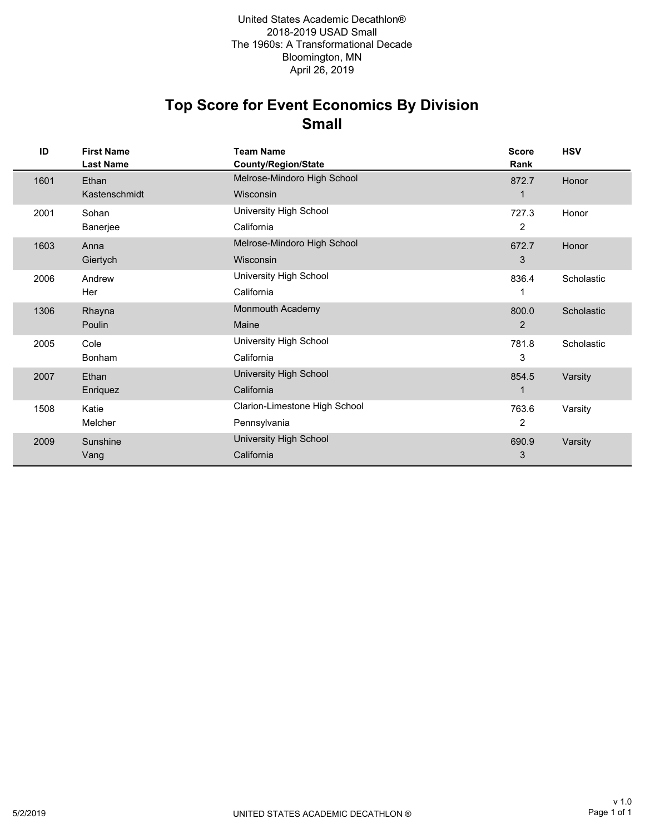### **Small Top Score for Event Economics By Division**

| ID   | <b>First Name</b><br><b>Last Name</b> | <b>Team Name</b><br>County/Region/State | <b>Score</b><br>Rank | <b>HSV</b> |
|------|---------------------------------------|-----------------------------------------|----------------------|------------|
| 1601 | Ethan                                 | Melrose-Mindoro High School             | 872.7                | Honor      |
|      | Kastenschmidt                         | Wisconsin                               |                      |            |
| 2001 | Sohan                                 | University High School                  | 727.3                | Honor      |
|      | Banerjee                              | California                              | 2                    |            |
| 1603 | Anna                                  | Melrose-Mindoro High School             | 672.7                | Honor      |
|      | Giertych                              | Wisconsin                               | 3                    |            |
| 2006 | Andrew                                | University High School                  | 836.4                | Scholastic |
|      | Her                                   | California                              | 1                    |            |
| 1306 | Rhayna                                | Monmouth Academy                        | 800.0                | Scholastic |
|      | Poulin                                | Maine                                   | $\overline{2}$       |            |
| 2005 | Cole                                  | University High School                  | 781.8                | Scholastic |
|      | <b>Bonham</b>                         | California                              | 3                    |            |
| 2007 | Ethan                                 | University High School                  | 854.5                | Varsity    |
|      | Enriquez                              | California                              | 1                    |            |
| 1508 | Katie                                 | Clarion-Limestone High School           | 763.6                | Varsity    |
|      | Melcher                               | Pennsylvania                            | 2                    |            |
| 2009 | Sunshine                              | University High School                  | 690.9                | Varsity    |
|      | Vang                                  | California                              | 3                    |            |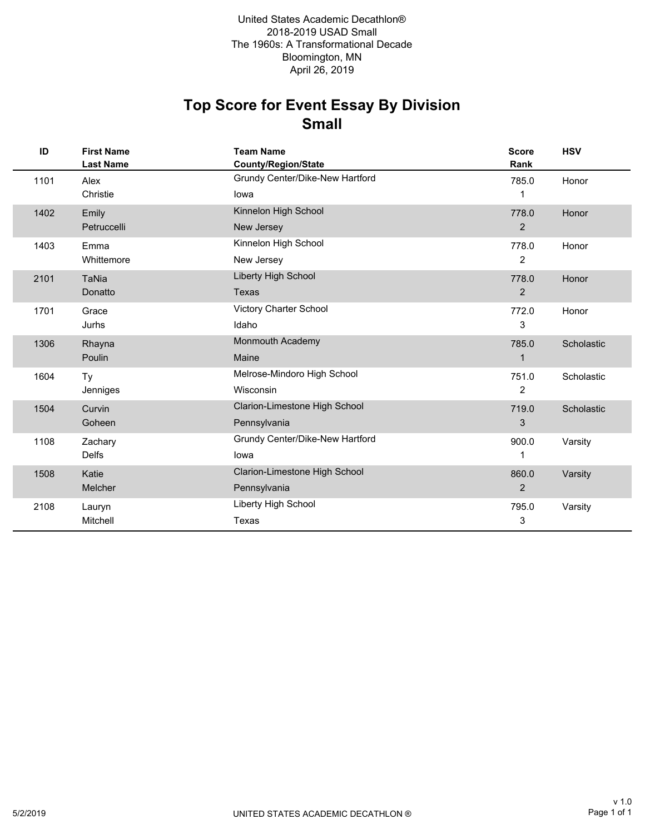# **Small Top Score for Event Essay By Division**

| ID   | <b>First Name</b><br><b>Last Name</b> | <b>Team Name</b><br><b>County/Region/State</b> | <b>Score</b><br>Rank | <b>HSV</b> |
|------|---------------------------------------|------------------------------------------------|----------------------|------------|
| 1101 | Alex                                  | Grundy Center/Dike-New Hartford                | 785.0                | Honor      |
|      | Christie                              | lowa                                           | 1                    |            |
| 1402 | Emily                                 | Kinnelon High School                           | 778.0                | Honor      |
|      | Petruccelli                           | New Jersey                                     | $\overline{2}$       |            |
| 1403 | Emma                                  | Kinnelon High School                           | 778.0                | Honor      |
|      | Whittemore                            | New Jersey                                     | $\overline{2}$       |            |
| 2101 | <b>TaNia</b>                          | Liberty High School                            | 778.0                | Honor      |
|      | Donatto                               | <b>Texas</b>                                   | $\overline{2}$       |            |
| 1701 | Grace                                 | Victory Charter School                         | 772.0                | Honor      |
|      | Jurhs                                 | Idaho                                          | 3                    |            |
| 1306 | Rhayna                                | Monmouth Academy                               | 785.0                | Scholastic |
|      | Poulin                                | Maine                                          | $\mathbf 1$          |            |
| 1604 | Ty                                    | Melrose-Mindoro High School                    | 751.0                | Scholastic |
|      | Jenniges                              | Wisconsin                                      | 2                    |            |
| 1504 | Curvin                                | Clarion-Limestone High School                  | 719.0                | Scholastic |
|      | Goheen                                | Pennsylvania                                   | 3                    |            |
| 1108 | Zachary                               | Grundy Center/Dike-New Hartford                | 900.0                | Varsity    |
|      | <b>Delfs</b>                          | lowa                                           | 1                    |            |
| 1508 | Katie                                 | Clarion-Limestone High School                  | 860.0                | Varsity    |
|      | Melcher                               | Pennsylvania                                   | $\overline{2}$       |            |
| 2108 | Lauryn                                | Liberty High School                            | 795.0                | Varsity    |
|      | Mitchell                              | Texas                                          | 3                    |            |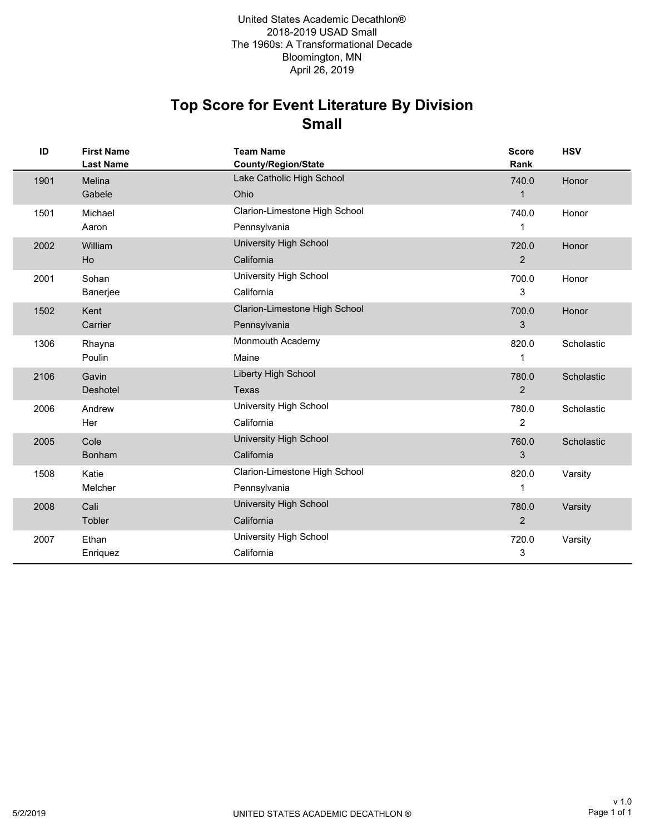### **Small Top Score for Event Literature By Division**

| ID   | <b>First Name</b><br><b>Last Name</b> | <b>Team Name</b><br><b>County/Region/State</b> | <b>Score</b><br>Rank | <b>HSV</b> |
|------|---------------------------------------|------------------------------------------------|----------------------|------------|
| 1901 | Melina                                | Lake Catholic High School                      | 740.0                | Honor      |
|      | Gabele                                | Ohio                                           | $\mathbf{1}$         |            |
| 1501 | Michael                               | Clarion-Limestone High School                  | 740.0                | Honor      |
|      | Aaron                                 | Pennsylvania                                   | 1                    |            |
| 2002 | William                               | <b>University High School</b>                  | 720.0                | Honor      |
|      | Ho                                    | California                                     | 2                    |            |
| 2001 | Sohan                                 | University High School                         | 700.0                | Honor      |
|      | Banerjee                              | California                                     | 3                    |            |
| 1502 | Kent                                  | Clarion-Limestone High School                  | 700.0                | Honor      |
|      | Carrier                               | Pennsylvania                                   | 3                    |            |
| 1306 | Rhayna                                | Monmouth Academy                               | 820.0                | Scholastic |
|      | Poulin                                | Maine                                          | 1                    |            |
| 2106 | Gavin                                 | Liberty High School                            | 780.0                | Scholastic |
|      | Deshotel                              | Texas                                          | $\overline{2}$       |            |
| 2006 | Andrew                                | University High School                         | 780.0                | Scholastic |
|      | Her                                   | California                                     | $\overline{c}$       |            |
| 2005 | Cole                                  | <b>University High School</b>                  | 760.0                | Scholastic |
|      | Bonham                                | California                                     | 3                    |            |
| 1508 | Katie                                 | Clarion-Limestone High School                  | 820.0                | Varsity    |
|      | Melcher                               | Pennsylvania                                   | 1                    |            |
| 2008 | Cali                                  | University High School                         | 780.0                | Varsity    |
|      | Tobler                                | California                                     | $\overline{2}$       |            |
| 2007 | Ethan                                 | University High School                         | 720.0                | Varsity    |
|      | Enriquez                              | California                                     | 3                    |            |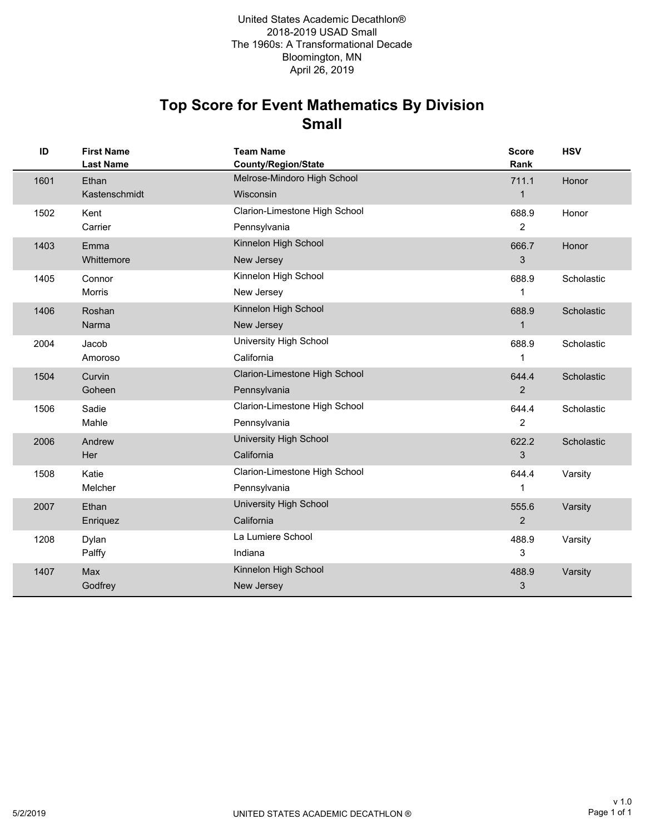# **Small Top Score for Event Mathematics By Division**

| ID   | <b>First Name</b><br><b>Last Name</b> | <b>Team Name</b><br><b>County/Region/State</b> | <b>Score</b><br>Rank | <b>HSV</b> |
|------|---------------------------------------|------------------------------------------------|----------------------|------------|
| 1601 | Ethan                                 | Melrose-Mindoro High School                    | 711.1                | Honor      |
|      | Kastenschmidt                         | Wisconsin                                      | $\mathbf{1}$         |            |
| 1502 | Kent                                  | Clarion-Limestone High School                  | 688.9                | Honor      |
|      | Carrier                               | Pennsylvania                                   | $\overline{2}$       |            |
| 1403 | Emma                                  | Kinnelon High School                           | 666.7                | Honor      |
|      | Whittemore                            | New Jersey                                     | 3                    |            |
| 1405 | Connor                                | Kinnelon High School                           | 688.9                | Scholastic |
|      | <b>Morris</b>                         | New Jersey                                     | 1                    |            |
| 1406 | Roshan                                | Kinnelon High School                           | 688.9                | Scholastic |
|      | Narma                                 | New Jersey                                     | $\mathbf{1}$         |            |
| 2004 | Jacob                                 | University High School                         | 688.9                | Scholastic |
|      | Amoroso                               | California                                     | 1                    |            |
| 1504 | Curvin                                | Clarion-Limestone High School                  | 644.4                | Scholastic |
|      | Goheen                                | Pennsylvania                                   | $\overline{2}$       |            |
| 1506 | Sadie                                 | Clarion-Limestone High School                  | 644.4                | Scholastic |
|      | Mahle                                 | Pennsylvania                                   | $\overline{2}$       |            |
| 2006 | Andrew                                | University High School                         | 622.2                | Scholastic |
|      | Her                                   | California                                     | 3                    |            |
| 1508 | Katie                                 | Clarion-Limestone High School                  | 644.4                | Varsity    |
|      | Melcher                               | Pennsylvania                                   | 1                    |            |
| 2007 | Ethan                                 | University High School                         | 555.6                | Varsity    |
|      | Enriquez                              | California                                     | 2                    |            |
| 1208 | Dylan                                 | La Lumiere School                              | 488.9                | Varsity    |
|      | Palffy                                | Indiana                                        | 3                    |            |
| 1407 | Max                                   | Kinnelon High School                           | 488.9                | Varsity    |
|      | Godfrey                               | New Jersey                                     | 3                    |            |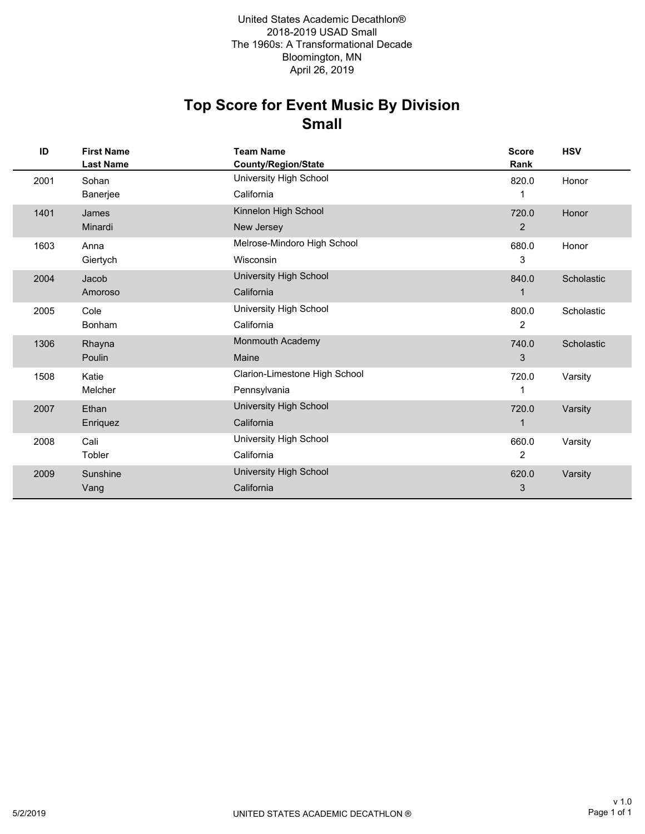# **Small Top Score for Event Music By Division**

| ID   | <b>First Name</b><br><b>Last Name</b> | <b>Team Name</b><br>County/Region/State | <b>Score</b><br>Rank | <b>HSV</b> |
|------|---------------------------------------|-----------------------------------------|----------------------|------------|
| 2001 | Sohan                                 | University High School                  | 820.0                | Honor      |
|      | Banerjee                              | California                              |                      |            |
| 1401 | James                                 | Kinnelon High School                    | 720.0                | Honor      |
|      | Minardi                               | New Jersey                              | $\overline{2}$       |            |
| 1603 | Anna                                  | Melrose-Mindoro High School             | 680.0                | Honor      |
|      | Giertych                              | Wisconsin                               | 3                    |            |
| 2004 | Jacob                                 | University High School                  | 840.0                | Scholastic |
|      | Amoroso                               | California                              | 1                    |            |
| 2005 | Cole                                  | University High School                  | 800.0                | Scholastic |
|      | Bonham                                | California                              | 2                    |            |
| 1306 | Rhayna                                | Monmouth Academy                        | 740.0                | Scholastic |
|      | Poulin                                | Maine                                   | 3                    |            |
| 1508 | Katie                                 | Clarion-Limestone High School           | 720.0                | Varsity    |
|      | Melcher                               | Pennsylvania                            | 1                    |            |
| 2007 | Ethan                                 | University High School                  | 720.0                | Varsity    |
|      | Enriquez                              | California                              | $\mathbf 1$          |            |
| 2008 | Cali                                  | University High School                  | 660.0                | Varsity    |
|      | Tobler                                | California                              | 2                    |            |
| 2009 | Sunshine                              | University High School                  | 620.0                | Varsity    |
|      | Vang                                  | California                              | 3                    |            |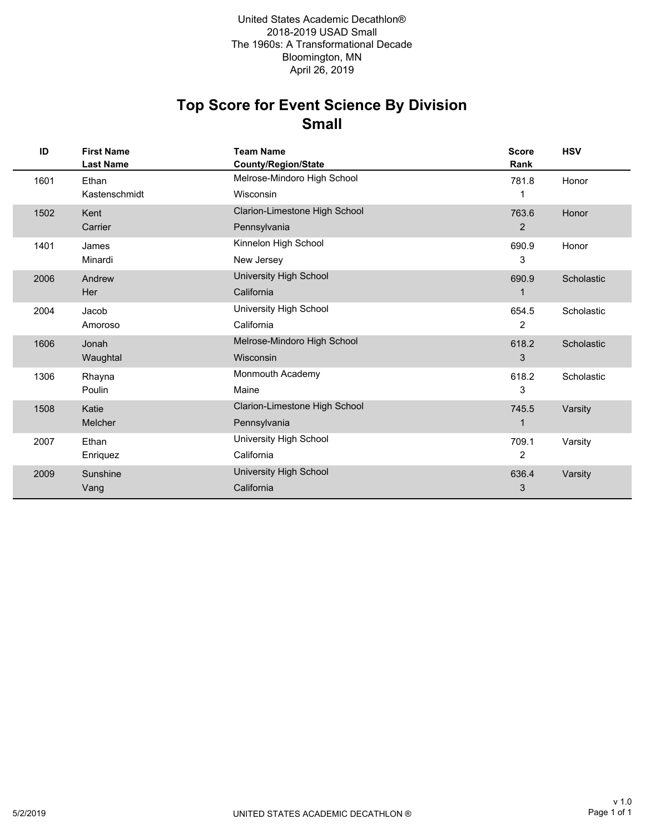# **Small Top Score for Event Science By Division**

| ID   | <b>First Name</b><br><b>Last Name</b> | <b>Team Name</b><br><b>County/Region/State</b> | <b>Score</b><br>Rank | <b>HSV</b> |
|------|---------------------------------------|------------------------------------------------|----------------------|------------|
| 1601 | Ethan                                 | Melrose-Mindoro High School                    | 781.8                | Honor      |
|      | Kastenschmidt                         | Wisconsin                                      |                      |            |
| 1502 | Kent                                  | Clarion-Limestone High School                  | 763.6                | Honor      |
|      | Carrier                               | Pennsylvania                                   | 2                    |            |
| 1401 | James                                 | Kinnelon High School                           | 690.9                | Honor      |
|      | Minardi                               | New Jersey                                     | 3                    |            |
| 2006 | Andrew                                | University High School                         | 690.9                | Scholastic |
|      | Her                                   | California                                     | $\mathbf 1$          |            |
| 2004 | Jacob                                 | University High School                         | 654.5                | Scholastic |
|      | Amoroso                               | California                                     | 2                    |            |
| 1606 | Jonah                                 | Melrose-Mindoro High School                    | 618.2                | Scholastic |
|      | Waughtal                              | Wisconsin                                      | 3                    |            |
| 1306 | Rhayna                                | Monmouth Academy                               | 618.2                | Scholastic |
|      | Poulin                                | Maine                                          | 3                    |            |
| 1508 | Katie                                 | Clarion-Limestone High School                  | 745.5                | Varsity    |
|      | <b>Melcher</b>                        | Pennsylvania                                   | 1                    |            |
| 2007 | Ethan                                 | University High School                         | 709.1                | Varsity    |
|      | Enriquez                              | California                                     | 2                    |            |
| 2009 | Sunshine                              | University High School                         | 636.4                | Varsity    |
|      | Vang                                  | California                                     | 3                    |            |